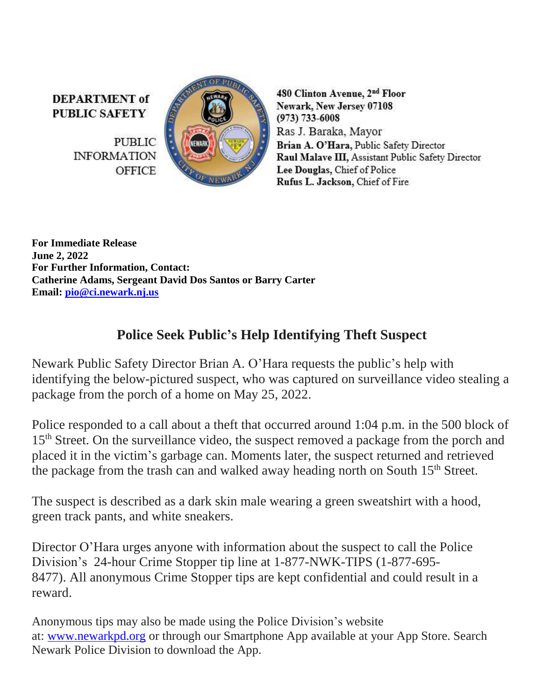**DEPARTMENT** of **PUBLIC SAFETY** 

> **PUBLIC INFORMATION OFFICE**



480 Clinton Avenue, 2<sup>nd</sup> Floor Newark, New Jersey 07108  $(973) 733 - 6008$ Ras J. Baraka, Mayor Brian A. O'Hara, Public Safety Director Raul Malave III, Assistant Public Safety Director Lee Douglas, Chief of Police Rufus L. Jackson, Chief of Fire

**For Immediate Release June 2, 2022 For Further Information, Contact: Catherine Adams, Sergeant David Dos Santos or Barry Carter Email: [pio@ci.newark.nj.us](mailto:pio@ci.newark.nj.us)**

## **Police Seek Public's Help Identifying Theft Suspect**

Newark Public Safety Director Brian A. O'Hara requests the public's help with identifying the below-pictured suspect, who was captured on surveillance video stealing a package from the porch of a home on May 25, 2022.

Police responded to a call about a theft that occurred around 1:04 p.m. in the 500 block of 15<sup>th</sup> Street. On the surveillance video, the suspect removed a package from the porch and placed it in the victim's garbage can. Moments later, the suspect returned and retrieved the package from the trash can and walked away heading north on South 15<sup>th</sup> Street.

The suspect is described as a dark skin male wearing a green sweatshirt with a hood, green track pants, and white sneakers.

Director O'Hara urges anyone with information about the suspect to call the Police Division's 24-hour Crime Stopper tip line at 1-877-NWK-TIPS (1-877-695- 8477). All anonymous Crime Stopper tips are kept confidential and could result in a reward.

Anonymous tips may also be made using the Police Division's website at: [www.newarkpd.org](https://nam11.safelinks.protection.outlook.com/?url=http%3A%2F%2Fwww.newarkpd.org%2F&data=05%7C01%7Ccarterba%40ci.newark.nj.us%7C6cb89c624bf64e5d3fce08da41c8486e%7C24883a20af7b4ead9b4c900a20da8933%7C0%7C0%7C637894625745666478%7CUnknown%7CTWFpbGZsb3d8eyJWIjoiMC4wLjAwMDAiLCJQIjoiV2luMzIiLCJBTiI6Ik1haWwiLCJXVCI6Mn0%3D%7C3000%7C%7C%7C&sdata=ECHaPLaRwfRJthJ3BMi%2B4sd8kjqMrAj8kjltNcxUGs8%3D&reserved=0) or through our Smartphone App available at your App Store. Search Newark Police Division to download the App.